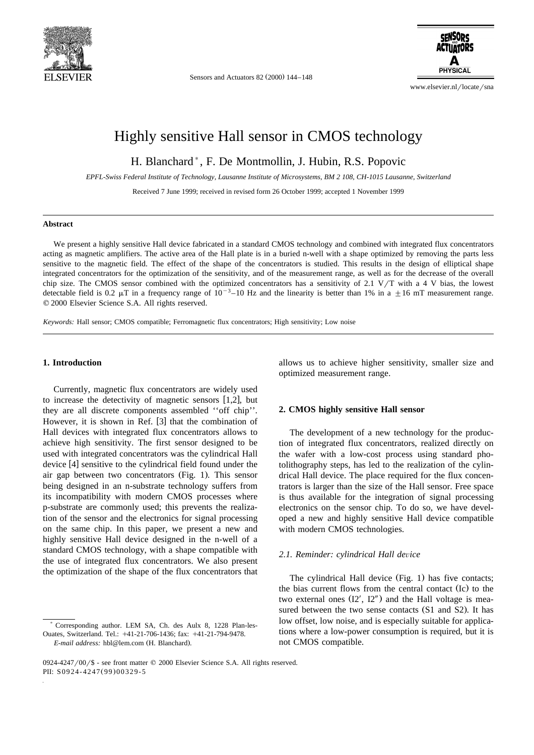

Sensors and Actuators 82 (2000) 144-148



www.elsevier.nl/locate/sna

## Highly sensitive Hall sensor in CMOS technology

H. Blanchard), F. De Montmollin, J. Hubin, R.S. Popovic

*EPFL-Swiss Federal Institute of Technology, Lausanne Institute of Microsystems, BM 2 108, CH-1015 Lausanne, Switzerland*

Received 7 June 1999; received in revised form 26 October 1999; accepted 1 November 1999

#### **Abstract**

We present a highly sensitive Hall device fabricated in a standard CMOS technology and combined with integrated flux concentrators acting as magnetic amplifiers. The active area of the Hall plate is in a buried n-well with a shape optimized by removing the parts less sensitive to the magnetic field. The effect of the shape of the concentrators is studied. This results in the design of elliptical shape integrated concentrators for the optimization of the sensitivity, and of the measurement range, as well as for the decrease of the overall chip size. The CMOS sensor combined with the optimized concentrators has a sensitivity of 2.1 V/T with a 4 V bias, the lowest detectable field is 0.2  $\mu$ T in a frequency range of 10<sup>-3</sup>-10 Hz and the linearity is better than 1% in a  $\pm$ 16 mT measurement range.  $Q$  2000 Elsevier Science S.A. All rights reserved.

*Keywords:* Hall sensor; CMOS compatible; Ferromagnetic flux concentrators; High sensitivity; Low noise

### **1. Introduction**

Currently, magnetic flux concentrators are widely used to increase the detectivity of magnetic sensors  $[1,2]$ , but they are all discrete components assembled ''off chip''. However, it is shown in Ref.  $[3]$  that the combination of Hall devices with integrated flux concentrators allows to achieve high sensitivity. The first sensor designed to be used with integrated concentrators was the cylindrical Hall device [4] sensitive to the cylindrical field found under the air gap between two concentrators (Fig. 1). This sensor being designed in an n-substrate technology suffers from its incompatibility with modern CMOS processes where p-substrate are commonly used; this prevents the realization of the sensor and the electronics for signal processing on the same chip. In this paper, we present a new and highly sensitive Hall device designed in the n-well of a standard CMOS technology, with a shape compatible with the use of integrated flux concentrators. We also present the optimization of the shape of the flux concentrators that

allows us to achieve higher sensitivity, smaller size and optimized measurement range.

#### **2. CMOS highly sensitive Hall sensor**

The development of a new technology for the production of integrated flux concentrators, realized directly on the wafer with a low-cost process using standard photolithography steps, has led to the realization of the cylindrical Hall device. The place required for the flux concentrators is larger than the size of the Hall sensor. Free space is thus available for the integration of signal processing electronics on the sensor chip. To do so, we have developed a new and highly sensitive Hall device compatible with modern CMOS technologies.

#### 2.1. Reminder: cylindrical Hall device

The cylindrical Hall device (Fig. 1) has five contacts; the bias current flows from the central contact (Ic) to the two external ones  $(I2', I2'')$  and the Hall voltage is measured between the two sense contacts (S1 and S2). It has low offset, low noise, and is especially suitable for applications where a low-power consumption is required, but it is not CMOS compatible.

<sup>)</sup> Corresponding author. LEM SA, Ch. des Aulx 8, 1228 Plan-les-Ouates, Switzerland. Tel.: +41-21-706-1436; fax: +41-21-794-9478. *E-mail address:* hbl@lem.com (H. Blanchard).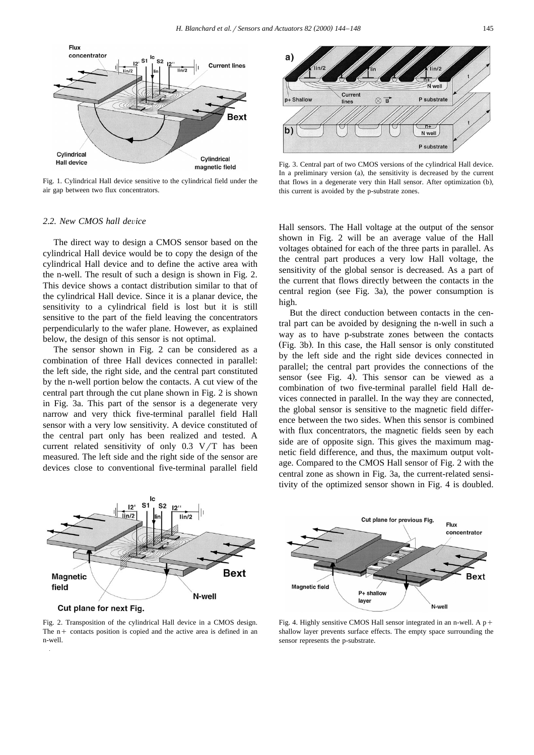

Fig. 1. Cylindrical Hall device sensitive to the cylindrical field under the air gap between two flux concentrators.

#### 2.2. New CMOS hall device

The direct way to design a CMOS sensor based on the cylindrical Hall device would be to copy the design of the cylindrical Hall device and to define the active area with the n-well. The result of such a design is shown in Fig. 2. This device shows a contact distribution similar to that of the cylindrical Hall device. Since it is a planar device, the sensitivity to a cylindrical field is lost but it is still sensitive to the part of the field leaving the concentrators perpendicularly to the wafer plane. However, as explained below, the design of this sensor is not optimal.

The sensor shown in Fig. 2 can be considered as a combination of three Hall devices connected in parallel: the left side, the right side, and the central part constituted by the n-well portion below the contacts. A cut view of the central part through the cut plane shown in Fig. 2 is shown in Fig. 3a. This part of the sensor is a degenerate very narrow and very thick five-terminal parallel field Hall sensor with a very low sensitivity. A device constituted of the central part only has been realized and tested. A current related sensitivity of only  $0.3 \text{ V/T}$  has been measured. The left side and the right side of the sensor are devices close to conventional five-terminal parallel field



Fig. 3. Central part of two CMOS versions of the cylindrical Hall device. In a preliminary version (a), the sensitivity is decreased by the current that flows in a degenerate very thin Hall sensor. After optimization (b), this current is avoided by the p-substrate zones.

Hall sensors. The Hall voltage at the output of the sensor shown in Fig. 2 will be an average value of the Hall voltages obtained for each of the three parts in parallel. As the central part produces a very low Hall voltage, the sensitivity of the global sensor is decreased. As a part of the current that flows directly between the contacts in the central region (see Fig. 3a), the power consumption is high.

But the direct conduction between contacts in the central part can be avoided by designing the n-well in such a way as to have p-substrate zones between the contacts (Fig. 3b). In this case, the Hall sensor is only constituted by the left side and the right side devices connected in parallel; the central part provides the connections of the sensor (see Fig. 4). This sensor can be viewed as a combination of two five-terminal parallel field Hall devices connected in parallel. In the way they are connected, the global sensor is sensitive to the magnetic field difference between the two sides. When this sensor is combined with flux concentrators, the magnetic fields seen by each side are of opposite sign. This gives the maximum magnetic field difference, and thus, the maximum output voltage. Compared to the CMOS Hall sensor of Fig. 2 with the central zone as shown in Fig. 3a, the current-related sensitivity of the optimized sensor shown in Fig. 4 is doubled.



Cut plane for next Fig.

Fig. 2. Transposition of the cylindrical Hall device in a CMOS design. The  $n +$  contacts position is copied and the active area is defined in an n-well.



Fig. 4. Highly sensitive CMOS Hall sensor integrated in an n-well. A  $p+$ shallow layer prevents surface effects. The empty space surrounding the sensor represents the p-substrate.